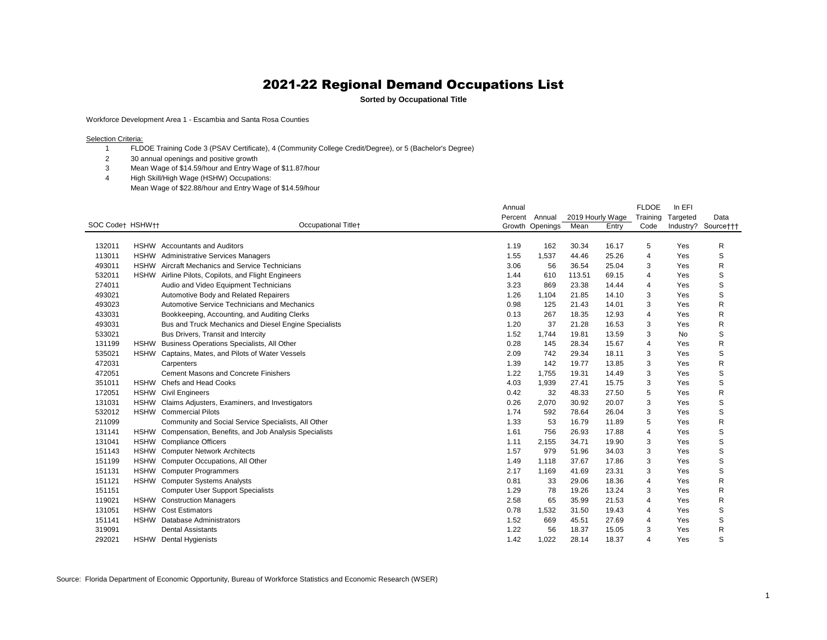**Sorted by Occupational Title**

Workforce Development Area 1 - Escambia and Santa Rosa Counties

Selection Criteria:

- FLDOE Training Code 3 (PSAV Certificate), 4 (Community College Credit/Degree), or 5 (Bachelor's Degree)
- 30 annual openings and positive growth
- Mean Wage of \$14.59/hour and Entry Wage of \$11.87/hour
- High Skill/High Wage (HSHW) Occupations: Mean Wage of \$22.88/hour and Entry Wage of \$14.59/hour

|                  |             |                                                        | Annual  |                 |                  |       | <b>FLDOE</b>   | In EFI    |                     |
|------------------|-------------|--------------------------------------------------------|---------|-----------------|------------------|-------|----------------|-----------|---------------------|
|                  |             |                                                        | Percent | Annual          | 2019 Hourly Wage |       | Training       | Targeted  | Data                |
| SOC Codet HSHWtt |             | Occupational Title+                                    |         | Growth Openings | Mean             | Entry | Code           |           | Industry? Source††† |
|                  |             |                                                        |         |                 |                  |       |                |           |                     |
| 132011           |             | HSHW Accountants and Auditors                          | 1.19    | 162             | 30.34            | 16.17 | 5              | Yes       | R                   |
| 113011           | <b>HSHW</b> | <b>Administrative Services Managers</b>                | 1.55    | 1,537           | 44.46            | 25.26 | 4              | Yes       | S                   |
| 493011           |             | <b>HSHW</b> Aircraft Mechanics and Service Technicians | 3.06    | 56              | 36.54            | 25.04 | 3              | Yes       | R                   |
| 532011           |             | HSHW Airline Pilots, Copilots, and Flight Engineers    | 1.44    | 610             | 113.51           | 69.15 | 4              | Yes       | S                   |
| 274011           |             | Audio and Video Equipment Technicians                  | 3.23    | 869             | 23.38            | 14.44 | 4              | Yes       | S                   |
| 493021           |             | Automotive Body and Related Repairers                  | 1.26    | 1,104           | 21.85            | 14.10 | 3              | Yes       | S                   |
| 493023           |             | Automotive Service Technicians and Mechanics           | 0.98    | 125             | 21.43            | 14.01 | 3              | Yes       | R                   |
| 433031           |             | Bookkeeping, Accounting, and Auditing Clerks           | 0.13    | 267             | 18.35            | 12.93 | 4              | Yes       | R                   |
| 493031           |             | Bus and Truck Mechanics and Diesel Engine Specialists  | 1.20    | 37              | 21.28            | 16.53 | 3              | Yes       | R                   |
| 533021           |             | Bus Drivers, Transit and Intercity                     | 1.52    | 1,744           | 19.81            | 13.59 | 3              | <b>No</b> | S                   |
| 131199           | <b>HSHW</b> | Business Operations Specialists, All Other             | 0.28    | 145             | 28.34            | 15.67 | 4              | Yes       | R                   |
| 535021           | <b>HSHW</b> | Captains, Mates, and Pilots of Water Vessels           | 2.09    | 742             | 29.34            | 18.11 | 3              | Yes       | S                   |
| 472031           |             | Carpenters                                             | 1.39    | 142             | 19.77            | 13.85 | 3              | Yes       | R                   |
| 472051           |             | <b>Cement Masons and Concrete Finishers</b>            | 1.22    | 1,755           | 19.31            | 14.49 | 3              | Yes       | S                   |
| 351011           | <b>HSHW</b> | Chefs and Head Cooks                                   | 4.03    | 1,939           | 27.41            | 15.75 | 3              | Yes       | S                   |
| 172051           | <b>HSHW</b> | <b>Civil Engineers</b>                                 | 0.42    | 32              | 48.33            | 27.50 | 5              | Yes       | R                   |
| 131031           | <b>HSHW</b> | Claims Adjusters, Examiners, and Investigators         | 0.26    | 2,070           | 30.92            | 20.07 | 3              | Yes       | S                   |
| 532012           |             | <b>HSHW</b> Commercial Pilots                          | 1.74    | 592             | 78.64            | 26.04 | 3              | Yes       | S                   |
| 211099           |             | Community and Social Service Specialists, All Other    | 1.33    | 53              | 16.79            | 11.89 | 5              | Yes       | R                   |
| 131141           | <b>HSHW</b> | Compensation, Benefits, and Job Analysis Specialists   | 1.61    | 756             | 26.93            | 17.88 | 4              | Yes       | S                   |
| 131041           | <b>HSHW</b> | <b>Compliance Officers</b>                             | 1.11    | 2,155           | 34.71            | 19.90 | 3              | Yes       | S                   |
| 151143           | <b>HSHW</b> | <b>Computer Network Architects</b>                     | 1.57    | 979             | 51.96            | 34.03 | 3              | Yes       | S                   |
| 151199           | <b>HSHW</b> | Computer Occupations, All Other                        | 1.49    | 1,118           | 37.67            | 17.86 | 3              | Yes       | S                   |
| 151131           | <b>HSHW</b> | <b>Computer Programmers</b>                            | 2.17    | 1,169           | 41.69            | 23.31 | 3              | Yes       | S                   |
| 151121           | <b>HSHW</b> | <b>Computer Systems Analysts</b>                       | 0.81    | 33              | 29.06            | 18.36 | 4              | Yes       | R                   |
| 151151           |             | <b>Computer User Support Specialists</b>               | 1.29    | 78              | 19.26            | 13.24 | 3              | Yes       | R                   |
| 119021           |             | HSHW Construction Managers                             | 2.58    | 65              | 35.99            | 21.53 | 4              | Yes       | R                   |
| 131051           | <b>HSHW</b> | <b>Cost Estimators</b>                                 | 0.78    | 1,532           | 31.50            | 19.43 | 4              | Yes       | S                   |
| 151141           | <b>HSHW</b> | Database Administrators                                | 1.52    | 669             | 45.51            | 27.69 | 4              | Yes       | S                   |
| 319091           |             | <b>Dental Assistants</b>                               | 1.22    | 56              | 18.37            | 15.05 | 3              | Yes       | R                   |
| 292021           | <b>HSHW</b> | <b>Dental Hygienists</b>                               | 1.42    | 1,022           | 28.14            | 18.37 | $\overline{4}$ | Yes       | S                   |
|                  |             |                                                        |         |                 |                  |       |                |           |                     |

Source: Florida Department of Economic Opportunity, Bureau of Workforce Statistics and Economic Research (WSER)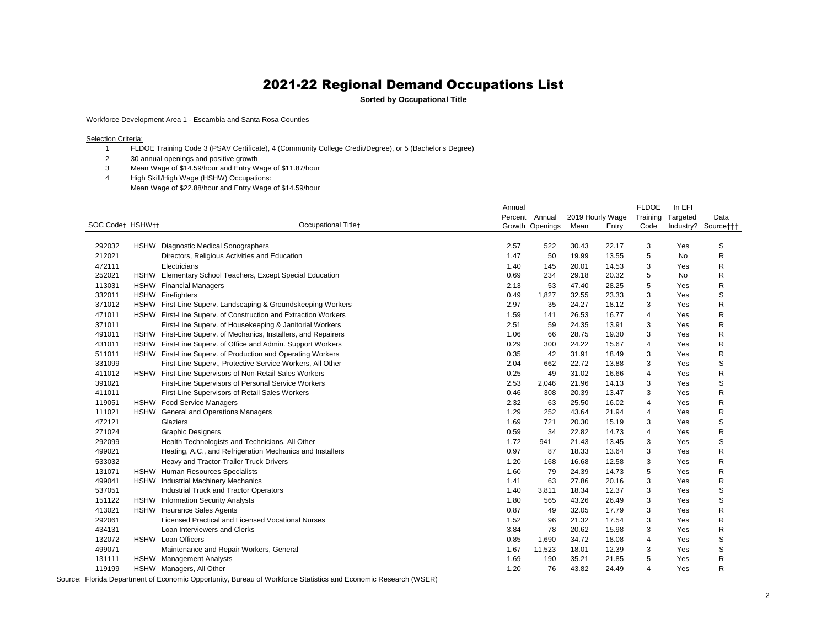**Sorted by Occupational Title**

Workforce Development Area 1 - Escambia and Santa Rosa Counties

Selection Criteria:

- FLDOE Training Code 3 (PSAV Certificate), 4 (Community College Credit/Degree), or 5 (Bachelor's Degree)
- 30 annual openings and positive growth
- Mean Wage of \$14.59/hour and Entry Wage of \$11.87/hour
- High Skill/High Wage (HSHW) Occupations:
	- Mean Wage of \$22.88/hour and Entry Wage of \$14.59/hour

|                  |             |                                                                 | Annual  |                 |                  |       | <b>FLDOE</b>   | In EFI   |                     |
|------------------|-------------|-----------------------------------------------------------------|---------|-----------------|------------------|-------|----------------|----------|---------------------|
|                  |             |                                                                 | Percent | Annual          | 2019 Hourly Wage |       | Training       | Targeted | Data                |
| SOC Code† HSHW†† |             | Occupational Titlet                                             |         | Growth Openings | Mean             | Entry | Code           |          | Industry? Source††† |
|                  |             |                                                                 |         |                 |                  |       |                |          |                     |
| 292032           | <b>HSHW</b> | Diagnostic Medical Sonographers                                 | 2.57    | 522             | 30.43            | 22.17 | 3              | Yes      | S                   |
| 212021           |             | Directors, Religious Activities and Education                   | 1.47    | 50              | 19.99            | 13.55 | 5              | No       | R                   |
| 472111           |             | Electricians                                                    | 1.40    | 145             | 20.01            | 14.53 | 3              | Yes      | R                   |
| 252021           |             | HSHW Elementary School Teachers, Except Special Education       | 0.69    | 234             | 29.18            | 20.32 | 5              | No       | R                   |
| 113031           | <b>HSHW</b> | <b>Financial Managers</b>                                       | 2.13    | 53              | 47.40            | 28.25 | 5              | Yes      | R                   |
| 332011           |             | <b>HSHW</b> Firefighters                                        | 0.49    | 1,827           | 32.55            | 23.33 | 3              | Yes      | S                   |
| 371012           |             | HSHW First-Line Superv. Landscaping & Groundskeeping Workers    | 2.97    | 35              | 24.27            | 18.12 | 3              | Yes      | R                   |
| 471011           |             | HSHW First-Line Superv. of Construction and Extraction Workers  | 1.59    | 141             | 26.53            | 16.77 | 4              | Yes      | R                   |
| 371011           |             | First-Line Superv. of Housekeeping & Janitorial Workers         | 2.51    | 59              | 24.35            | 13.91 | 3              | Yes      | R                   |
| 491011           |             | HSHW First-Line Superv. of Mechanics, Installers, and Repairers | 1.06    | 66              | 28.75            | 19.30 | 3              | Yes      | R                   |
| 431011           |             | HSHW First-Line Superv. of Office and Admin. Support Workers    | 0.29    | 300             | 24.22            | 15.67 | 4              | Yes      | R                   |
| 511011           |             | HSHW First-Line Superv. of Production and Operating Workers     | 0.35    | 42              | 31.91            | 18.49 | 3              | Yes      | R                   |
| 331099           |             | First-Line Superv., Protective Service Workers, All Other       | 2.04    | 662             | 22.72            | 13.88 | 3              | Yes      | S                   |
| 411012           |             | HSHW First-Line Supervisors of Non-Retail Sales Workers         | 0.25    | 49              | 31.02            | 16.66 | 4              | Yes      | R                   |
| 391021           |             | First-Line Supervisors of Personal Service Workers              | 2.53    | 2,046           | 21.96            | 14.13 | 3              | Yes      | $\mathsf S$         |
| 411011           |             | First-Line Supervisors of Retail Sales Workers                  | 0.46    | 308             | 20.39            | 13.47 | 3              | Yes      | R                   |
| 119051           |             | HSHW Food Service Managers                                      | 2.32    | 63              | 25.50            | 16.02 | 4              | Yes      | R                   |
| 111021           |             | HSHW General and Operations Managers                            | 1.29    | 252             | 43.64            | 21.94 | 4              | Yes      | R                   |
| 472121           |             | Glaziers                                                        | 1.69    | 721             | 20.30            | 15.19 | 3              | Yes      | $\mathsf S$         |
| 271024           |             | <b>Graphic Designers</b>                                        | 0.59    | 34              | 22.82            | 14.73 | $\overline{4}$ | Yes      | R                   |
| 292099           |             | Health Technologists and Technicians, All Other                 | 1.72    | 941             | 21.43            | 13.45 | 3              | Yes      | $\mathsf S$         |
| 499021           |             | Heating, A.C., and Refrigeration Mechanics and Installers       | 0.97    | 87              | 18.33            | 13.64 | 3              | Yes      | $\mathsf R$         |
| 533032           |             | Heavy and Tractor-Trailer Truck Drivers                         | 1.20    | 168             | 16.68            | 12.58 | 3              | Yes      | R                   |
| 131071           |             | HSHW Human Resources Specialists                                | 1.60    | 79              | 24.39            | 14.73 | 5              | Yes      | $\mathsf R$         |
| 499041           |             | HSHW Industrial Machinery Mechanics                             | 1.41    | 63              | 27.86            | 20.16 | 3              | Yes      | $\mathsf R$         |
| 537051           |             | <b>Industrial Truck and Tractor Operators</b>                   | 1.40    | 3,811           | 18.34            | 12.37 | 3              | Yes      | S                   |
| 151122           |             | HSHW Information Security Analysts                              | 1.80    | 565             | 43.26            | 26.49 | 3              | Yes      | $\mathsf S$         |
| 413021           |             | HSHW Insurance Sales Agents                                     | 0.87    | 49              | 32.05            | 17.79 | 3              | Yes      | $\mathsf R$         |
| 292061           |             | Licensed Practical and Licensed Vocational Nurses               | 1.52    | 96              | 21.32            | 17.54 | 3              | Yes      | $\mathsf R$         |
| 434131           |             | Loan Interviewers and Clerks                                    | 3.84    | 78              | 20.62            | 15.98 | 3              | Yes      | R                   |
| 132072           |             | HSHW Loan Officers                                              | 0.85    | 1,690           | 34.72            | 18.08 | 4              | Yes      | $\mathsf S$         |
| 499071           |             | Maintenance and Repair Workers, General                         | 1.67    | 11,523          | 18.01            | 12.39 | 3              | Yes      | S                   |
| 131111           |             | <b>HSHW</b> Management Analysts                                 | 1.69    | 190             | 35.21            | 21.85 | 5              | Yes      | R                   |
| 119199           |             | HSHW Managers, All Other                                        | 1.20    | 76              | 43.82            | 24.49 | 4              | Yes      | R                   |

Source: Florida Department of Economic Opportunity, Bureau of Workforce Statistics and Economic Research (WSER)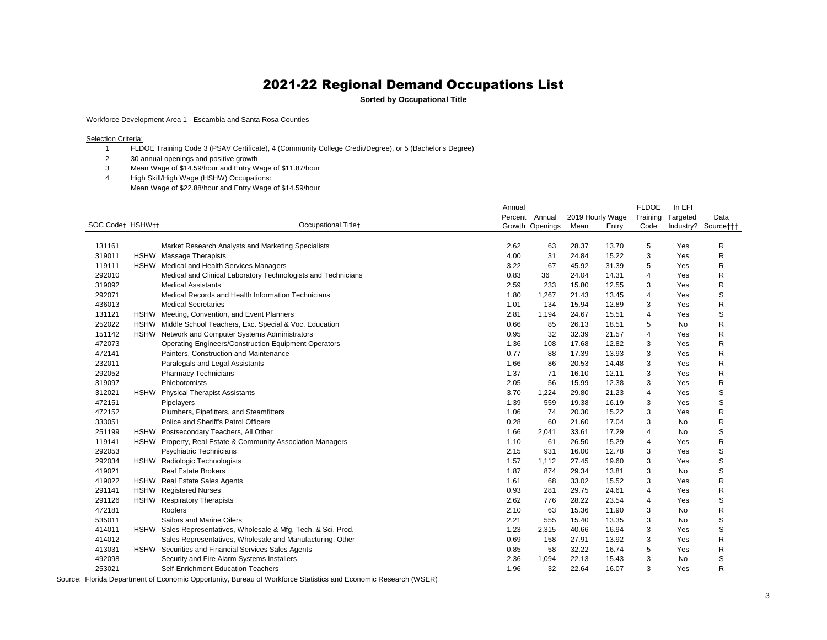**Sorted by Occupational Title**

Workforce Development Area 1 - Escambia and Santa Rosa Counties

Selection Criteria:

- FLDOE Training Code 3 (PSAV Certificate), 4 (Community College Credit/Degree), or 5 (Bachelor's Degree)
- 30 annual openings and positive growth
- Mean Wage of \$14.59/hour and Entry Wage of \$11.87/hour
- High Skill/High Wage (HSHW) Occupations:
	- Mean Wage of \$22.88/hour and Entry Wage of \$14.59/hour

|                  |             |                                                                 | Annual |                 |                  |       | <b>FLDOE</b>   | In EFI   |                     |
|------------------|-------------|-----------------------------------------------------------------|--------|-----------------|------------------|-------|----------------|----------|---------------------|
|                  |             |                                                                 |        | Percent Annual  | 2019 Hourly Wage |       | Training       | Targeted | Data                |
| SOC Code† HSHW†† |             | Occupational Titlet                                             |        | Growth Openings | Mean             | Entry | Code           |          | Industry? Source††† |
|                  |             |                                                                 |        |                 |                  |       |                |          |                     |
| 131161           |             | Market Research Analysts and Marketing Specialists              | 2.62   | 63              | 28.37            | 13.70 | 5              | Yes      | R                   |
| 319011           |             | HSHW Massage Therapists                                         | 4.00   | 31              | 24.84            | 15.22 | 3              | Yes      | R                   |
| 119111           |             | HSHW Medical and Health Services Managers                       | 3.22   | 67              | 45.92            | 31.39 | 5              | Yes      | R                   |
| 292010           |             | Medical and Clinical Laboratory Technologists and Technicians   | 0.83   | 36              | 24.04            | 14.31 | $\overline{4}$ | Yes      | R                   |
| 319092           |             | <b>Medical Assistants</b>                                       | 2.59   | 233             | 15.80            | 12.55 | 3              | Yes      | R                   |
| 292071           |             | Medical Records and Health Information Technicians              | 1.80   | 1,267           | 21.43            | 13.45 | 4              | Yes      | S                   |
| 436013           |             | <b>Medical Secretaries</b>                                      | 1.01   | 134             | 15.94            | 12.89 | 3              | Yes      | R                   |
| 131121           |             | HSHW Meeting, Convention, and Event Planners                    | 2.81   | 1,194           | 24.67            | 15.51 | 4              | Yes      | S                   |
| 252022           |             | HSHW Middle School Teachers, Exc. Special & Voc. Education      | 0.66   | 85              | 26.13            | 18.51 | 5              | No       | $\mathsf R$         |
| 151142           |             | HSHW Network and Computer Systems Administrators                | 0.95   | 32              | 32.39            | 21.57 | 4              | Yes      | R                   |
| 472073           |             | <b>Operating Engineers/Construction Equipment Operators</b>     | 1.36   | 108             | 17.68            | 12.82 | 3              | Yes      | R                   |
| 472141           |             | Painters, Construction and Maintenance                          | 0.77   | 88              | 17.39            | 13.93 | 3              | Yes      | R                   |
| 232011           |             | Paralegals and Legal Assistants                                 | 1.66   | 86              | 20.53            | 14.48 | 3              | Yes      | R                   |
| 292052           |             | <b>Pharmacy Technicians</b>                                     | 1.37   | 71              | 16.10            | 12.11 | 3              | Yes      | R                   |
| 319097           |             | Phlebotomists                                                   | 2.05   | 56              | 15.99            | 12.38 | 3              | Yes      | R                   |
| 312021           | <b>HSHW</b> | <b>Physical Therapist Assistants</b>                            | 3.70   | 1,224           | 29.80            | 21.23 | 4              | Yes      | $\mathbb S$         |
| 472151           |             | Pipelayers                                                      | 1.39   | 559             | 19.38            | 16.19 | 3              | Yes      | $\mathsf S$         |
| 472152           |             | Plumbers, Pipefitters, and Steamfitters                         | 1.06   | 74              | 20.30            | 15.22 | 3              | Yes      | R                   |
| 333051           |             | Police and Sheriff's Patrol Officers                            | 0.28   | 60              | 21.60            | 17.04 | 3              | No       | $\mathsf R$         |
| 251199           |             | HSHW Postsecondary Teachers, All Other                          | 1.66   | 2,041           | 33.61            | 17.29 | 4              | No       | S                   |
| 119141           |             | HSHW Property, Real Estate & Community Association Managers     | 1.10   | 61              | 26.50            | 15.29 | $\overline{4}$ | Yes      | $\mathsf R$         |
| 292053           |             | <b>Psychiatric Technicians</b>                                  | 2.15   | 931             | 16.00            | 12.78 | 3              | Yes      | $\mathsf S$         |
| 292034           |             | HSHW Radiologic Technologists                                   | 1.57   | 1,112           | 27.45            | 19.60 | 3              | Yes      | $\mathbb S$         |
| 419021           |             | <b>Real Estate Brokers</b>                                      | 1.87   | 874             | 29.34            | 13.81 | 3              | No       | $\mathbb S$         |
| 419022           |             | HSHW Real Estate Sales Agents                                   | 1.61   | 68              | 33.02            | 15.52 | 3              | Yes      | $\mathsf R$         |
| 291141           |             | <b>HSHW</b> Registered Nurses                                   | 0.93   | 281             | 29.75            | 24.61 | 4              | Yes      | $\mathsf R$         |
| 291126           |             | HSHW Respiratory Therapists                                     | 2.62   | 776             | 28.22            | 23.54 | $\overline{4}$ | Yes      | $\mathsf S$         |
| 472181           |             | Roofers                                                         | 2.10   | 63              | 15.36            | 11.90 | 3              | No       | $\mathsf R$         |
| 535011           |             | Sailors and Marine Oilers                                       | 2.21   | 555             | 15.40            | 13.35 | 3              | No       | $\mathsf S$         |
| 414011           |             | HSHW Sales Representatives, Wholesale & Mfg, Tech. & Sci. Prod. | 1.23   | 2,315           | 40.66            | 16.94 | 3              | Yes      | $\mathsf S$         |
| 414012           |             | Sales Representatives, Wholesale and Manufacturing, Other       | 0.69   | 158             | 27.91            | 13.92 | 3              | Yes      | $\mathsf R$         |
| 413031           |             | HSHW Securities and Financial Services Sales Agents             | 0.85   | 58              | 32.22            | 16.74 | 5              | Yes      | R                   |
| 492098           |             | Security and Fire Alarm Systems Installers                      | 2.36   | 1,094           | 22.13            | 15.43 | 3              | No       | S                   |
| 253021           |             | Self-Enrichment Education Teachers                              | 1.96   | 32              | 22.64            | 16.07 | 3              | Yes      | R                   |

Source: Florida Department of Economic Opportunity, Bureau of Workforce Statistics and Economic Research (WSER)